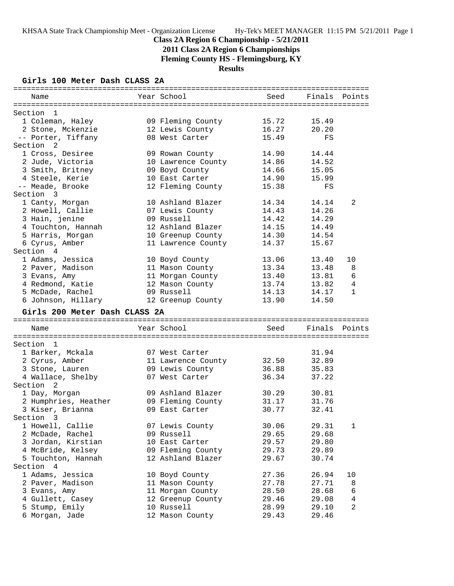**2011 Class 2A Region 6 Championships**

**Fleming County HS - Flemingsburg, KY**

## **Results**

### **Girls 100 Meter Dash CLASS 2A**

| Year School<br>Seed<br>Finals<br>Points<br>Name<br>09 Fleming County<br>15.49<br>1 Coleman, Haley<br>15.72<br>2 Stone, Mckenzie<br>16.27<br>12 Lewis County<br>20.20<br>-- Porter, Tiffany<br>15.49<br>08 West Carter<br>FS<br>1 Cross, Desiree<br>14.90<br>14.44<br>09 Rowan County<br>14.52<br>2 Jude, Victoria<br>10 Lawrence County<br>14.86<br>3 Smith, Britney<br>14.66<br>15.05<br>09 Boyd County<br>14.90<br>4 Steele, Kerie<br>10 East Carter<br>15.99<br>-- Meade, Brooke<br>12 Fleming County<br>15.38<br>FS<br>10 Ashland Blazer<br>14.34<br>14.14<br>2<br>1 Canty, Morgan<br>2 Howell, Callie<br>07 Lewis County<br>14.43<br>14.26<br>3 Hain, jenine<br>09 Russell<br>14.42<br>14.29<br>12 Ashland Blazer<br>4 Touchton, Hannah<br>14.15<br>14.49<br>5 Harris, Morgan<br>10 Greenup County<br>14.30<br>14.54<br>6 Cyrus, Amber<br>11 Lawrence County<br>14.37<br>15.67<br>1 Adams, Jessica<br>13.06<br>13.40<br>10<br>10 Boyd County<br>2 Paver, Madison<br>11 Mason County<br>13.34<br>13.48<br>8<br>13.40<br>6<br>11 Morgan County<br>13.81<br>3 Evans, Amy<br>12 Mason County<br>13.74<br>4 Redmond, Katie<br>13.82<br>4<br>14.13<br>5 McDade, Rachel<br>09 Russell<br>14.17<br>$\mathbf{1}$<br>6 Johnson, Hillary<br>13.90<br>12 Greenup County<br>14.50<br>Girls 200 Meter Dash CLASS 2A<br>Year School<br>Name<br>Seed<br>Finals Points<br>1 Barker, Mckala<br>31.94<br>07 West Carter<br>2 Cyrus, Amber<br>32.50<br>32.89<br>11 Lawrence County<br>09 Lewis County<br>36.88<br>35.83<br>3 Stone, Lauren<br>4 Wallace, Shelby<br>07 West Carter<br>36.34<br>37.22<br>2<br>09 Ashland Blazer<br>30.29<br>1 Day, Morgan<br>30.81<br>2 Humphries, Heather<br>09 Fleming County<br>31.17<br>31.76<br>3 Kiser, Brianna<br>09 East Carter<br>30.77<br>32.41<br>1 Howell, Callie<br>07 Lewis County<br>30.06<br>29.31<br>1<br>2 McDade, Rachel<br>09 Russell<br>29.65<br>29.68<br>3 Jordan, Kirstian<br>10 East Carter<br>29.57<br>29.80<br>4 McBride, Kelsey<br>09 Fleming County<br>29.73<br>29.89<br>5 Touchton, Hannah<br>12 Ashland Blazer<br>29.67<br>30.74<br>1 Adams, Jessica<br>27.36<br>10 Boyd County<br>26.94<br>10<br>2 Paver, Madison<br>27.78<br>11 Mason County<br>27.71<br>8<br>3 Evans, Amy<br>11 Morgan County<br>28.50<br>6<br>28.68 | =============    |  |       |       |  |
|----------------------------------------------------------------------------------------------------------------------------------------------------------------------------------------------------------------------------------------------------------------------------------------------------------------------------------------------------------------------------------------------------------------------------------------------------------------------------------------------------------------------------------------------------------------------------------------------------------------------------------------------------------------------------------------------------------------------------------------------------------------------------------------------------------------------------------------------------------------------------------------------------------------------------------------------------------------------------------------------------------------------------------------------------------------------------------------------------------------------------------------------------------------------------------------------------------------------------------------------------------------------------------------------------------------------------------------------------------------------------------------------------------------------------------------------------------------------------------------------------------------------------------------------------------------------------------------------------------------------------------------------------------------------------------------------------------------------------------------------------------------------------------------------------------------------------------------------------------------------------------------------------------------------------------------------------------------------------------------------------------------------------------------------------------------------------------------------------------------------------------------------------------------------------------------------------------------------------------------------------------------------|------------------|--|-------|-------|--|
|                                                                                                                                                                                                                                                                                                                                                                                                                                                                                                                                                                                                                                                                                                                                                                                                                                                                                                                                                                                                                                                                                                                                                                                                                                                                                                                                                                                                                                                                                                                                                                                                                                                                                                                                                                                                                                                                                                                                                                                                                                                                                                                                                                                                                                                                      |                  |  |       |       |  |
|                                                                                                                                                                                                                                                                                                                                                                                                                                                                                                                                                                                                                                                                                                                                                                                                                                                                                                                                                                                                                                                                                                                                                                                                                                                                                                                                                                                                                                                                                                                                                                                                                                                                                                                                                                                                                                                                                                                                                                                                                                                                                                                                                                                                                                                                      |                  |  |       |       |  |
|                                                                                                                                                                                                                                                                                                                                                                                                                                                                                                                                                                                                                                                                                                                                                                                                                                                                                                                                                                                                                                                                                                                                                                                                                                                                                                                                                                                                                                                                                                                                                                                                                                                                                                                                                                                                                                                                                                                                                                                                                                                                                                                                                                                                                                                                      | Section 1        |  |       |       |  |
|                                                                                                                                                                                                                                                                                                                                                                                                                                                                                                                                                                                                                                                                                                                                                                                                                                                                                                                                                                                                                                                                                                                                                                                                                                                                                                                                                                                                                                                                                                                                                                                                                                                                                                                                                                                                                                                                                                                                                                                                                                                                                                                                                                                                                                                                      |                  |  |       |       |  |
|                                                                                                                                                                                                                                                                                                                                                                                                                                                                                                                                                                                                                                                                                                                                                                                                                                                                                                                                                                                                                                                                                                                                                                                                                                                                                                                                                                                                                                                                                                                                                                                                                                                                                                                                                                                                                                                                                                                                                                                                                                                                                                                                                                                                                                                                      |                  |  |       |       |  |
|                                                                                                                                                                                                                                                                                                                                                                                                                                                                                                                                                                                                                                                                                                                                                                                                                                                                                                                                                                                                                                                                                                                                                                                                                                                                                                                                                                                                                                                                                                                                                                                                                                                                                                                                                                                                                                                                                                                                                                                                                                                                                                                                                                                                                                                                      |                  |  |       |       |  |
|                                                                                                                                                                                                                                                                                                                                                                                                                                                                                                                                                                                                                                                                                                                                                                                                                                                                                                                                                                                                                                                                                                                                                                                                                                                                                                                                                                                                                                                                                                                                                                                                                                                                                                                                                                                                                                                                                                                                                                                                                                                                                                                                                                                                                                                                      | Section 2        |  |       |       |  |
|                                                                                                                                                                                                                                                                                                                                                                                                                                                                                                                                                                                                                                                                                                                                                                                                                                                                                                                                                                                                                                                                                                                                                                                                                                                                                                                                                                                                                                                                                                                                                                                                                                                                                                                                                                                                                                                                                                                                                                                                                                                                                                                                                                                                                                                                      |                  |  |       |       |  |
|                                                                                                                                                                                                                                                                                                                                                                                                                                                                                                                                                                                                                                                                                                                                                                                                                                                                                                                                                                                                                                                                                                                                                                                                                                                                                                                                                                                                                                                                                                                                                                                                                                                                                                                                                                                                                                                                                                                                                                                                                                                                                                                                                                                                                                                                      |                  |  |       |       |  |
|                                                                                                                                                                                                                                                                                                                                                                                                                                                                                                                                                                                                                                                                                                                                                                                                                                                                                                                                                                                                                                                                                                                                                                                                                                                                                                                                                                                                                                                                                                                                                                                                                                                                                                                                                                                                                                                                                                                                                                                                                                                                                                                                                                                                                                                                      |                  |  |       |       |  |
|                                                                                                                                                                                                                                                                                                                                                                                                                                                                                                                                                                                                                                                                                                                                                                                                                                                                                                                                                                                                                                                                                                                                                                                                                                                                                                                                                                                                                                                                                                                                                                                                                                                                                                                                                                                                                                                                                                                                                                                                                                                                                                                                                                                                                                                                      |                  |  |       |       |  |
|                                                                                                                                                                                                                                                                                                                                                                                                                                                                                                                                                                                                                                                                                                                                                                                                                                                                                                                                                                                                                                                                                                                                                                                                                                                                                                                                                                                                                                                                                                                                                                                                                                                                                                                                                                                                                                                                                                                                                                                                                                                                                                                                                                                                                                                                      |                  |  |       |       |  |
|                                                                                                                                                                                                                                                                                                                                                                                                                                                                                                                                                                                                                                                                                                                                                                                                                                                                                                                                                                                                                                                                                                                                                                                                                                                                                                                                                                                                                                                                                                                                                                                                                                                                                                                                                                                                                                                                                                                                                                                                                                                                                                                                                                                                                                                                      | Section 3        |  |       |       |  |
|                                                                                                                                                                                                                                                                                                                                                                                                                                                                                                                                                                                                                                                                                                                                                                                                                                                                                                                                                                                                                                                                                                                                                                                                                                                                                                                                                                                                                                                                                                                                                                                                                                                                                                                                                                                                                                                                                                                                                                                                                                                                                                                                                                                                                                                                      |                  |  |       |       |  |
|                                                                                                                                                                                                                                                                                                                                                                                                                                                                                                                                                                                                                                                                                                                                                                                                                                                                                                                                                                                                                                                                                                                                                                                                                                                                                                                                                                                                                                                                                                                                                                                                                                                                                                                                                                                                                                                                                                                                                                                                                                                                                                                                                                                                                                                                      |                  |  |       |       |  |
|                                                                                                                                                                                                                                                                                                                                                                                                                                                                                                                                                                                                                                                                                                                                                                                                                                                                                                                                                                                                                                                                                                                                                                                                                                                                                                                                                                                                                                                                                                                                                                                                                                                                                                                                                                                                                                                                                                                                                                                                                                                                                                                                                                                                                                                                      |                  |  |       |       |  |
|                                                                                                                                                                                                                                                                                                                                                                                                                                                                                                                                                                                                                                                                                                                                                                                                                                                                                                                                                                                                                                                                                                                                                                                                                                                                                                                                                                                                                                                                                                                                                                                                                                                                                                                                                                                                                                                                                                                                                                                                                                                                                                                                                                                                                                                                      |                  |  |       |       |  |
|                                                                                                                                                                                                                                                                                                                                                                                                                                                                                                                                                                                                                                                                                                                                                                                                                                                                                                                                                                                                                                                                                                                                                                                                                                                                                                                                                                                                                                                                                                                                                                                                                                                                                                                                                                                                                                                                                                                                                                                                                                                                                                                                                                                                                                                                      |                  |  |       |       |  |
|                                                                                                                                                                                                                                                                                                                                                                                                                                                                                                                                                                                                                                                                                                                                                                                                                                                                                                                                                                                                                                                                                                                                                                                                                                                                                                                                                                                                                                                                                                                                                                                                                                                                                                                                                                                                                                                                                                                                                                                                                                                                                                                                                                                                                                                                      |                  |  |       |       |  |
|                                                                                                                                                                                                                                                                                                                                                                                                                                                                                                                                                                                                                                                                                                                                                                                                                                                                                                                                                                                                                                                                                                                                                                                                                                                                                                                                                                                                                                                                                                                                                                                                                                                                                                                                                                                                                                                                                                                                                                                                                                                                                                                                                                                                                                                                      | Section 4        |  |       |       |  |
|                                                                                                                                                                                                                                                                                                                                                                                                                                                                                                                                                                                                                                                                                                                                                                                                                                                                                                                                                                                                                                                                                                                                                                                                                                                                                                                                                                                                                                                                                                                                                                                                                                                                                                                                                                                                                                                                                                                                                                                                                                                                                                                                                                                                                                                                      |                  |  |       |       |  |
|                                                                                                                                                                                                                                                                                                                                                                                                                                                                                                                                                                                                                                                                                                                                                                                                                                                                                                                                                                                                                                                                                                                                                                                                                                                                                                                                                                                                                                                                                                                                                                                                                                                                                                                                                                                                                                                                                                                                                                                                                                                                                                                                                                                                                                                                      |                  |  |       |       |  |
|                                                                                                                                                                                                                                                                                                                                                                                                                                                                                                                                                                                                                                                                                                                                                                                                                                                                                                                                                                                                                                                                                                                                                                                                                                                                                                                                                                                                                                                                                                                                                                                                                                                                                                                                                                                                                                                                                                                                                                                                                                                                                                                                                                                                                                                                      |                  |  |       |       |  |
|                                                                                                                                                                                                                                                                                                                                                                                                                                                                                                                                                                                                                                                                                                                                                                                                                                                                                                                                                                                                                                                                                                                                                                                                                                                                                                                                                                                                                                                                                                                                                                                                                                                                                                                                                                                                                                                                                                                                                                                                                                                                                                                                                                                                                                                                      |                  |  |       |       |  |
|                                                                                                                                                                                                                                                                                                                                                                                                                                                                                                                                                                                                                                                                                                                                                                                                                                                                                                                                                                                                                                                                                                                                                                                                                                                                                                                                                                                                                                                                                                                                                                                                                                                                                                                                                                                                                                                                                                                                                                                                                                                                                                                                                                                                                                                                      |                  |  |       |       |  |
|                                                                                                                                                                                                                                                                                                                                                                                                                                                                                                                                                                                                                                                                                                                                                                                                                                                                                                                                                                                                                                                                                                                                                                                                                                                                                                                                                                                                                                                                                                                                                                                                                                                                                                                                                                                                                                                                                                                                                                                                                                                                                                                                                                                                                                                                      |                  |  |       |       |  |
|                                                                                                                                                                                                                                                                                                                                                                                                                                                                                                                                                                                                                                                                                                                                                                                                                                                                                                                                                                                                                                                                                                                                                                                                                                                                                                                                                                                                                                                                                                                                                                                                                                                                                                                                                                                                                                                                                                                                                                                                                                                                                                                                                                                                                                                                      |                  |  |       |       |  |
|                                                                                                                                                                                                                                                                                                                                                                                                                                                                                                                                                                                                                                                                                                                                                                                                                                                                                                                                                                                                                                                                                                                                                                                                                                                                                                                                                                                                                                                                                                                                                                                                                                                                                                                                                                                                                                                                                                                                                                                                                                                                                                                                                                                                                                                                      |                  |  |       |       |  |
|                                                                                                                                                                                                                                                                                                                                                                                                                                                                                                                                                                                                                                                                                                                                                                                                                                                                                                                                                                                                                                                                                                                                                                                                                                                                                                                                                                                                                                                                                                                                                                                                                                                                                                                                                                                                                                                                                                                                                                                                                                                                                                                                                                                                                                                                      |                  |  |       |       |  |
|                                                                                                                                                                                                                                                                                                                                                                                                                                                                                                                                                                                                                                                                                                                                                                                                                                                                                                                                                                                                                                                                                                                                                                                                                                                                                                                                                                                                                                                                                                                                                                                                                                                                                                                                                                                                                                                                                                                                                                                                                                                                                                                                                                                                                                                                      |                  |  |       |       |  |
|                                                                                                                                                                                                                                                                                                                                                                                                                                                                                                                                                                                                                                                                                                                                                                                                                                                                                                                                                                                                                                                                                                                                                                                                                                                                                                                                                                                                                                                                                                                                                                                                                                                                                                                                                                                                                                                                                                                                                                                                                                                                                                                                                                                                                                                                      |                  |  |       |       |  |
|                                                                                                                                                                                                                                                                                                                                                                                                                                                                                                                                                                                                                                                                                                                                                                                                                                                                                                                                                                                                                                                                                                                                                                                                                                                                                                                                                                                                                                                                                                                                                                                                                                                                                                                                                                                                                                                                                                                                                                                                                                                                                                                                                                                                                                                                      | Section 1        |  |       |       |  |
|                                                                                                                                                                                                                                                                                                                                                                                                                                                                                                                                                                                                                                                                                                                                                                                                                                                                                                                                                                                                                                                                                                                                                                                                                                                                                                                                                                                                                                                                                                                                                                                                                                                                                                                                                                                                                                                                                                                                                                                                                                                                                                                                                                                                                                                                      |                  |  |       |       |  |
|                                                                                                                                                                                                                                                                                                                                                                                                                                                                                                                                                                                                                                                                                                                                                                                                                                                                                                                                                                                                                                                                                                                                                                                                                                                                                                                                                                                                                                                                                                                                                                                                                                                                                                                                                                                                                                                                                                                                                                                                                                                                                                                                                                                                                                                                      |                  |  |       |       |  |
|                                                                                                                                                                                                                                                                                                                                                                                                                                                                                                                                                                                                                                                                                                                                                                                                                                                                                                                                                                                                                                                                                                                                                                                                                                                                                                                                                                                                                                                                                                                                                                                                                                                                                                                                                                                                                                                                                                                                                                                                                                                                                                                                                                                                                                                                      |                  |  |       |       |  |
|                                                                                                                                                                                                                                                                                                                                                                                                                                                                                                                                                                                                                                                                                                                                                                                                                                                                                                                                                                                                                                                                                                                                                                                                                                                                                                                                                                                                                                                                                                                                                                                                                                                                                                                                                                                                                                                                                                                                                                                                                                                                                                                                                                                                                                                                      |                  |  |       |       |  |
|                                                                                                                                                                                                                                                                                                                                                                                                                                                                                                                                                                                                                                                                                                                                                                                                                                                                                                                                                                                                                                                                                                                                                                                                                                                                                                                                                                                                                                                                                                                                                                                                                                                                                                                                                                                                                                                                                                                                                                                                                                                                                                                                                                                                                                                                      | Section          |  |       |       |  |
|                                                                                                                                                                                                                                                                                                                                                                                                                                                                                                                                                                                                                                                                                                                                                                                                                                                                                                                                                                                                                                                                                                                                                                                                                                                                                                                                                                                                                                                                                                                                                                                                                                                                                                                                                                                                                                                                                                                                                                                                                                                                                                                                                                                                                                                                      |                  |  |       |       |  |
|                                                                                                                                                                                                                                                                                                                                                                                                                                                                                                                                                                                                                                                                                                                                                                                                                                                                                                                                                                                                                                                                                                                                                                                                                                                                                                                                                                                                                                                                                                                                                                                                                                                                                                                                                                                                                                                                                                                                                                                                                                                                                                                                                                                                                                                                      |                  |  |       |       |  |
|                                                                                                                                                                                                                                                                                                                                                                                                                                                                                                                                                                                                                                                                                                                                                                                                                                                                                                                                                                                                                                                                                                                                                                                                                                                                                                                                                                                                                                                                                                                                                                                                                                                                                                                                                                                                                                                                                                                                                                                                                                                                                                                                                                                                                                                                      |                  |  |       |       |  |
|                                                                                                                                                                                                                                                                                                                                                                                                                                                                                                                                                                                                                                                                                                                                                                                                                                                                                                                                                                                                                                                                                                                                                                                                                                                                                                                                                                                                                                                                                                                                                                                                                                                                                                                                                                                                                                                                                                                                                                                                                                                                                                                                                                                                                                                                      | Section 3        |  |       |       |  |
|                                                                                                                                                                                                                                                                                                                                                                                                                                                                                                                                                                                                                                                                                                                                                                                                                                                                                                                                                                                                                                                                                                                                                                                                                                                                                                                                                                                                                                                                                                                                                                                                                                                                                                                                                                                                                                                                                                                                                                                                                                                                                                                                                                                                                                                                      |                  |  |       |       |  |
|                                                                                                                                                                                                                                                                                                                                                                                                                                                                                                                                                                                                                                                                                                                                                                                                                                                                                                                                                                                                                                                                                                                                                                                                                                                                                                                                                                                                                                                                                                                                                                                                                                                                                                                                                                                                                                                                                                                                                                                                                                                                                                                                                                                                                                                                      |                  |  |       |       |  |
|                                                                                                                                                                                                                                                                                                                                                                                                                                                                                                                                                                                                                                                                                                                                                                                                                                                                                                                                                                                                                                                                                                                                                                                                                                                                                                                                                                                                                                                                                                                                                                                                                                                                                                                                                                                                                                                                                                                                                                                                                                                                                                                                                                                                                                                                      |                  |  |       |       |  |
|                                                                                                                                                                                                                                                                                                                                                                                                                                                                                                                                                                                                                                                                                                                                                                                                                                                                                                                                                                                                                                                                                                                                                                                                                                                                                                                                                                                                                                                                                                                                                                                                                                                                                                                                                                                                                                                                                                                                                                                                                                                                                                                                                                                                                                                                      |                  |  |       |       |  |
|                                                                                                                                                                                                                                                                                                                                                                                                                                                                                                                                                                                                                                                                                                                                                                                                                                                                                                                                                                                                                                                                                                                                                                                                                                                                                                                                                                                                                                                                                                                                                                                                                                                                                                                                                                                                                                                                                                                                                                                                                                                                                                                                                                                                                                                                      |                  |  |       |       |  |
|                                                                                                                                                                                                                                                                                                                                                                                                                                                                                                                                                                                                                                                                                                                                                                                                                                                                                                                                                                                                                                                                                                                                                                                                                                                                                                                                                                                                                                                                                                                                                                                                                                                                                                                                                                                                                                                                                                                                                                                                                                                                                                                                                                                                                                                                      | Section 4        |  |       |       |  |
|                                                                                                                                                                                                                                                                                                                                                                                                                                                                                                                                                                                                                                                                                                                                                                                                                                                                                                                                                                                                                                                                                                                                                                                                                                                                                                                                                                                                                                                                                                                                                                                                                                                                                                                                                                                                                                                                                                                                                                                                                                                                                                                                                                                                                                                                      |                  |  |       |       |  |
|                                                                                                                                                                                                                                                                                                                                                                                                                                                                                                                                                                                                                                                                                                                                                                                                                                                                                                                                                                                                                                                                                                                                                                                                                                                                                                                                                                                                                                                                                                                                                                                                                                                                                                                                                                                                                                                                                                                                                                                                                                                                                                                                                                                                                                                                      |                  |  |       |       |  |
| 4<br>12 Greenup County                                                                                                                                                                                                                                                                                                                                                                                                                                                                                                                                                                                                                                                                                                                                                                                                                                                                                                                                                                                                                                                                                                                                                                                                                                                                                                                                                                                                                                                                                                                                                                                                                                                                                                                                                                                                                                                                                                                                                                                                                                                                                                                                                                                                                                               |                  |  |       |       |  |
| 2<br>10 Russell<br>28.99<br>29.10                                                                                                                                                                                                                                                                                                                                                                                                                                                                                                                                                                                                                                                                                                                                                                                                                                                                                                                                                                                                                                                                                                                                                                                                                                                                                                                                                                                                                                                                                                                                                                                                                                                                                                                                                                                                                                                                                                                                                                                                                                                                                                                                                                                                                                    |                  |  |       |       |  |
|                                                                                                                                                                                                                                                                                                                                                                                                                                                                                                                                                                                                                                                                                                                                                                                                                                                                                                                                                                                                                                                                                                                                                                                                                                                                                                                                                                                                                                                                                                                                                                                                                                                                                                                                                                                                                                                                                                                                                                                                                                                                                                                                                                                                                                                                      | 4 Gullett, Casey |  | 29.46 | 29.08 |  |
|                                                                                                                                                                                                                                                                                                                                                                                                                                                                                                                                                                                                                                                                                                                                                                                                                                                                                                                                                                                                                                                                                                                                                                                                                                                                                                                                                                                                                                                                                                                                                                                                                                                                                                                                                                                                                                                                                                                                                                                                                                                                                                                                                                                                                                                                      | 5 Stump, Emily   |  |       |       |  |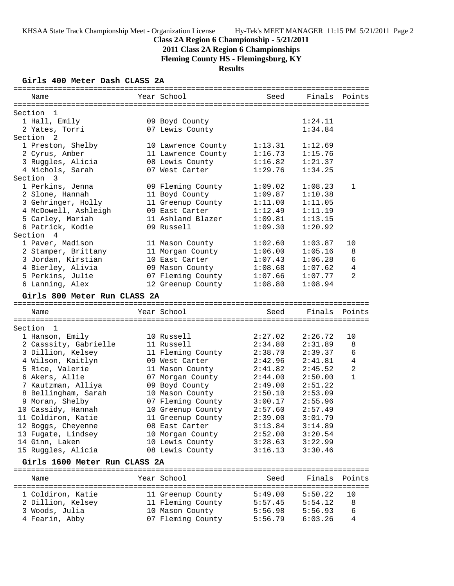# **2011 Class 2A Region 6 Championships**

**Fleming County HS - Flemingsburg, KY**

## **Results**

### **Girls 400 Meter Dash CLASS 2A**

| Name                                  | Year School                          | Seed               | Finals Points      |                |
|---------------------------------------|--------------------------------------|--------------------|--------------------|----------------|
|                                       |                                      |                    |                    |                |
| Section<br>$\mathbf{1}$               |                                      |                    |                    |                |
| 1 Hall, Emily                         | 09 Boyd County                       |                    | 1:24.11            |                |
| 2 Yates, Torri                        | 07 Lewis County                      |                    | 1:34.84            |                |
| Section <sub>2</sub>                  |                                      |                    |                    |                |
| 1 Preston, Shelby                     | 10 Lawrence County                   | 1:13.31            | 1:12.69            |                |
| 2 Cyrus, Amber                        | 11 Lawrence County                   | 1:16.73            | 1:15.76            |                |
| 3 Ruggles, Alicia                     | 08 Lewis County                      | 1:16.82            | 1:21.37            |                |
| 4 Nichols, Sarah                      | 07 West Carter                       | 1:29.76            | 1:34.25            |                |
| Section 3                             |                                      |                    |                    |                |
| 1 Perkins, Jenna                      | 09 Fleming County                    | 1:09.02            | 1:08.23            | 1              |
| 2 Slone, Hannah                       | 11 Boyd County                       | 1:09.87            | 1:10.38            |                |
| 3 Gehringer, Holly                    | 11 Greenup County                    | 1:11.00            | 1:11.05            |                |
| 4 McDowell, Ashleigh                  | 09 East Carter                       | 1:12.49            | 1:11.19            |                |
| 5 Carley, Mariah                      | 11 Ashland Blazer                    | 1:09.81            | 1:13.15            |                |
| 6 Patrick, Kodie                      | 09 Russell                           | 1:09.30            | 1:20.92            |                |
| Section 4                             |                                      |                    |                    |                |
| 1 Paver, Madison                      | 11 Mason County                      | 1:02.60            | 1:03.87            | 10             |
| 2 Stamper, Brittany                   | 11 Morgan County<br>10 East Carter   | 1:06.00<br>1:07.43 | 1:05.16<br>1:06.28 | 8<br>6         |
| 3 Jordan, Kirstian                    |                                      |                    |                    | 4              |
| 4 Bierley, Alivia<br>5 Perkins, Julie | 09 Mason County                      | 1:08.68<br>1:07.66 | 1:07.62            | $\overline{2}$ |
|                                       | 07 Fleming County                    | 1:08.80            | 1:07.77            |                |
| 6 Lanning, Alex                       | 12 Greenup County                    |                    | 1:08.94            |                |
| Girls 800 Meter Run CLASS 2A          |                                      |                    |                    |                |
| Name                                  | Year School                          | Seed               | Finals             | Points         |
|                                       |                                      |                    |                    |                |
| Section 1                             |                                      |                    |                    |                |
| 1 Hanson, Emily                       | 10 Russell                           | 2:27.02            | 2:26.72            | 10             |
| 2 Casssity, Gabrielle                 | 11 Russell                           | 2:34.80            | 2:31.89            | 8              |
| 3 Dillion, Kelsey                     | 11 Fleming County                    | 2:38.70            | 2:39.37            | 6              |
| 4 Wilson, Kaitlyn                     | 09 West Carter                       | 2:42.96            | 2:41.81            | $\overline{4}$ |
| 5 Rice, Valerie                       | 11 Mason County                      | 2:41.82            | 2:45.52            | $\overline{a}$ |
| 6 Akers, Allie                        |                                      |                    |                    |                |
|                                       |                                      |                    |                    | $\mathbf{1}$   |
|                                       | 07 Morgan County                     | 2:44.00            | 2:50.00            |                |
| 7 Kautzman, Alliya                    | 09 Boyd County                       | 2:49.00            | 2:51.22            |                |
| 8 Bellingham, Sarah                   | 10 Mason County                      | 2:50.10<br>3:00.17 | 2:53.09<br>2:55.96 |                |
| 9 Moran, Shelby                       | 07 Fleming County                    | 2:57.60            | 2:57.49            |                |
| 10 Cassidy, Hannah                    | 10 Greenup County                    |                    |                    |                |
| 11 Coldiron, Katie                    | 11 Greenup County<br>08 East Carter  | 2:39.00<br>3:13.84 | 3:01.79<br>3:14.89 |                |
| 12 Boggs, Cheyenne                    |                                      | 2:52.00            | 3:20.54            |                |
| 13 Fugate, Lindsey<br>14 Ginn, Laken  | 10 Morgan County<br>10 Lewis County  | 3:28.63            | 3:22.99            |                |
| 15 Ruggles, Alicia                    | 08 Lewis County                      | 3:16.13            | 3:30.46            |                |
|                                       |                                      |                    |                    |                |
| Girls 1600 Meter Run CLASS 2A         |                                      |                    |                    |                |
| Name                                  | Year School                          | Seed               | Finals             | Points         |
|                                       |                                      |                    |                    |                |
| 1 Coldiron, Katie                     | 11 Greenup County                    | 5:49.00            | 5:50.22            | 10             |
| 2 Dillion, Kelsey                     | 11 Fleming County                    | 5:57.45            | 5:54.12            | 8              |
| 3 Woods, Julia<br>4 Fearin, Abby      | 10 Mason County<br>07 Fleming County | 5:56.98<br>5:56.79 | 5:56.93<br>6:03.26 | 6<br>4         |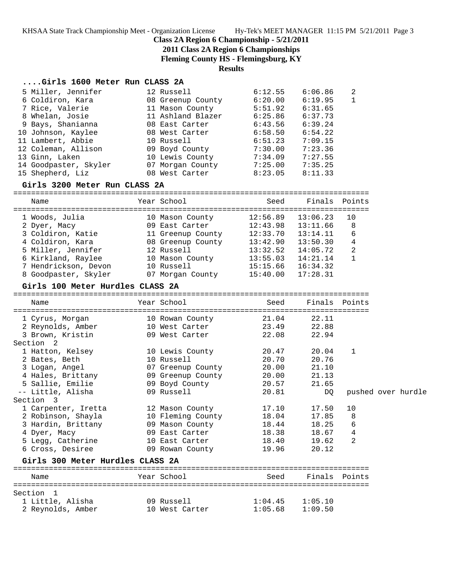### **Class 2A Region 6 Championship - 5/21/2011**

**2011 Class 2A Region 6 Championships**

**Fleming County HS - Flemingsburg, KY**

**Results**

#### **....Girls 1600 Meter Run CLASS 2A**

| 5 Miller, Jennifer    | 12 Russell        | 6:12.55 | 6:06.86 | -2           |
|-----------------------|-------------------|---------|---------|--------------|
| 6 Coldiron, Kara      | 08 Greenup County | 6:20.00 | 6:19.95 | $\mathbf{1}$ |
| 7 Rice, Valerie       | 11 Mason County   | 5:51.92 | 6:31.65 |              |
| 8 Whelan, Josie       | 11 Ashland Blazer | 6:25.86 | 6:37.73 |              |
| 9 Bays, Shanianna     | 08 East Carter    | 6:43.56 | 6:39.24 |              |
| 10 Johnson, Kaylee    | 08 West Carter    | 6:58.50 | 6:54.22 |              |
| 11 Lambert, Abbie     | 10 Russell        | 6:51.23 | 7:09.15 |              |
| 12 Coleman, Allison   | 09 Boyd County    | 7:30.00 | 7:23.36 |              |
| 13 Ginn, Laken        | 10 Lewis County   | 7:34.09 | 7:27.55 |              |
| 14 Goodpaster, Skyler | 07 Morgan County  | 7:25.00 | 7:35.25 |              |
| 15 Shepherd, Liz      | 08 West Carter    | 8:23.05 | 8:11.33 |              |

#### **Girls 3200 Meter Run CLASS 2A**

================================================================================ Name Year School Seed Finals Points ================================================================================ 1 Woods, Julia 10 Mason County 12:56.89 13:06.23 10 2 Dyer, Macy 09 East Carter 12:43.98 13:11.66 8 3 Coldiron, Katie 11 Greenup County 12:33.70 13:14.11 6 4 Coldiron, Kara 08 Greenup County 13:42.90 13:50.30 4 5 Miller, Jennifer 12 Russell 13:32.52 14:05.72 2 6 Kirkland, Raylee 10 Mason County 13:55.03 14:21.14 1 7 Hendrickson, Devon 10 Russell 15:15.66 16:34.32 8 Goodpaster, Skyler 07 Morgan County 15:40.00 17:28.31

#### **Girls 100 Meter Hurdles CLASS 2A**

================================================================================ Name Year School Seed Finals Points ================================================================================ 1 Cyrus, Morgan 10 Rowan County 21.04 22.11 2 Reynolds, Amber 10 West Carter 23.49 22.88 3 Brown, Kristin 09 West Carter 22.08 22.94 Section 2 1 Hatton, Kelsey 10 Lewis County 20.47 20.04 1 2 Bates, Beth 10 Russell 20.70 20.76 3 Logan, Angel 07 Greenup County 20.00 21.10 4 Hales, Brittany 09 Greenup County 20.00 21.13 5 Sallie, Emilie 09 Boyd County 20.57 21.65 -- Little, Alisha 09 Russell 20.81 DQ pushed over hurdle Section 3 1 Carpenter, Iretta 12 Mason County 17.10 17.50 10 2 Robinson, Shayla 10 Fleming County 18.04 17.85 8 3 Hardin, Brittany 09 Mason County 18.44 18.25 6 4 Dyer, Macy 09 East Carter 18.38 18.67 4 5 Legg, Catherine 10 East Carter 18.40 19.62 2 6 Cross, Desiree 09 Rowan County 19.96 20.12 **Girls 300 Meter Hurdles CLASS 2A** ================================================================================ Name Year School Seed Finals Points ================================================================================ Section 1 1 Little, Alisha 09 Russell 1:04.45 1:05.10

2 Reynolds, Amber 10 West Carter 1:05.68 1:09.50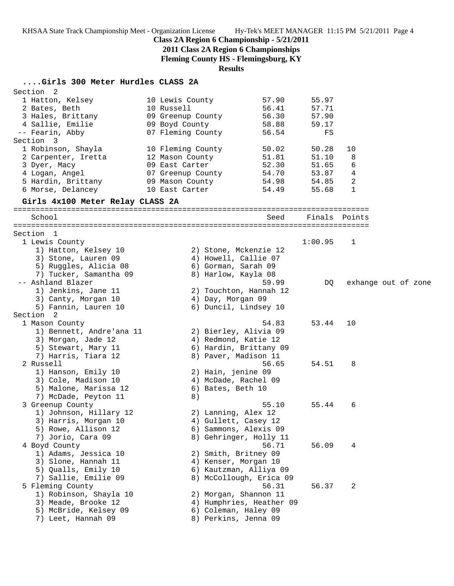### **Class 2A Region 6 Championship - 5/21/2011**

**2011 Class 2A Region 6 Championships**

**Fleming County HS - Flemingsburg, KY**

**Results**

# **....Girls 300 Meter Hurdles CLASS 2A**

| Section <sub>2</sub>                         |                   |                                           |                          |         |                     |  |
|----------------------------------------------|-------------------|-------------------------------------------|--------------------------|---------|---------------------|--|
| 1 Hatton, Kelsey                             | 10 Lewis County   |                                           | 57.90                    | 55.97   |                     |  |
| 2 Bates, Beth                                | 10 Russell        |                                           | 56.41                    | 57.71   |                     |  |
| 3 Hales, Brittany                            | 09 Greenup County |                                           | 56.30                    | 57.90   |                     |  |
| 4 Sallie, Emilie                             | 09 Boyd County    |                                           | 58.88                    | 59.17   |                     |  |
| -- Fearin, Abby                              | 07 Fleming County |                                           | 56.54                    | FS      |                     |  |
| Section 3                                    |                   |                                           |                          |         |                     |  |
| 1 Robinson, Shayla                           | 10 Fleming County |                                           | 50.02                    | 50.28   | 10                  |  |
| 2 Carpenter, Iretta                          | 12 Mason County   |                                           | 51.81                    | 51.10   | 8                   |  |
| 3 Dyer, Macy                                 | 09 East Carter    |                                           | 52.30                    | 51.65   | 6                   |  |
| 4 Logan, Angel                               | 07 Greenup County |                                           | 54.70                    | 53.87   | 4                   |  |
| 5 Hardin, Brittany                           | 09 Mason County   |                                           | 54.98                    | 54.85   | 2                   |  |
| 6 Morse, Delancey                            | 10 East Carter    |                                           | 54.49                    | 55.68   | $\mathbf{1}$        |  |
| Girls 4x100 Meter Relay CLASS 2A             |                   |                                           |                          |         |                     |  |
| School                                       |                   |                                           | Seed                     |         | Finals Points       |  |
| Section 1                                    |                   |                                           |                          |         |                     |  |
| 1 Lewis County                               |                   |                                           |                          | 1:00.95 | 1                   |  |
| 1) Hatton, Kelsey 10                         |                   | 2) Stone, Mckenzie 12                     |                          |         |                     |  |
| 3) Stone, Lauren 09                          |                   | 4) Howell, Callie 07                      |                          |         |                     |  |
| 5) Ruggles, Alicia 08                        |                   | 6) Gorman, Sarah 09                       |                          |         |                     |  |
| 7) Tucker, Samantha 09                       |                   | 8) Harlow, Kayla 08                       |                          |         |                     |  |
| -- Ashland Blazer                            |                   |                                           | 59.99                    | DQ.     | exhange out of zone |  |
| 1) Jenkins, Jane 11                          |                   | 2) Touchton, Hannah 12                    |                          |         |                     |  |
| 3) Canty, Morgan 10                          |                   | 4) Day, Morgan 09                         |                          |         |                     |  |
| 5) Fannin, Lauren 10                         |                   | 6) Duncil, Lindsey 10                     |                          |         |                     |  |
| Section <sub>2</sub>                         |                   |                                           |                          |         |                     |  |
| 1 Mason County                               |                   |                                           | 54.83                    | 53.44   | 10                  |  |
| 1) Bennett, Andre'ana 11                     |                   | 2) Bierley, Alivia 09                     |                          |         |                     |  |
| 3) Morgan, Jade 12                           |                   | 4) Redmond, Katie 12                      |                          |         |                     |  |
| 5) Stewart, Mary 11                          |                   | 6) Hardin, Brittany 09                    |                          |         |                     |  |
| 7) Harris, Tiara 12                          |                   | 8) Paver, Madison 11                      |                          |         |                     |  |
| 2 Russell                                    |                   |                                           | 56.65                    | 54.51   | 8                   |  |
| 1) Hanson, Emily 10                          |                   | 2) Hain, jenine 09                        |                          |         |                     |  |
| 3) Cole, Madison 10<br>5) Malone, Marissa 12 |                   | 4) McDade, Rachel 09<br>6) Bates, Beth 10 |                          |         |                     |  |
| 7) McDade, Peyton 11                         | 8)                |                                           |                          |         |                     |  |
| 3 Greenup County                             |                   |                                           | 55.10                    | 55.44   | 6                   |  |
| 1) Johnson, Hillary 12                       |                   | 2) Lanning, Alex 12                       |                          |         |                     |  |
| 3) Harris, Morgan 10                         |                   | 4) Gullett, Casey 12                      |                          |         |                     |  |
| 5) Rowe, Allison 12                          |                   | 6) Sammons, Alexis 09                     |                          |         |                     |  |
| 7) Jorio, Cara 09                            |                   | 8) Gehringer, Holly 11                    |                          |         |                     |  |
| 4 Boyd County                                |                   |                                           | 56.71                    | 56.09   | 4                   |  |
| 1) Adams, Jessica 10                         |                   | 2) Smith, Britney 09                      |                          |         |                     |  |
| 3) Slone, Hannah 11                          |                   | 4) Kenser, Morgan 10                      |                          |         |                     |  |
| 5) Qualls, Emily 10                          |                   | 6) Kautzman, Alliya 09                    |                          |         |                     |  |
| 7) Sallie, Emilie 09                         |                   | 8) McCollough, Erica 09                   |                          |         |                     |  |
| 5 Fleming County                             |                   |                                           | 56.31                    | 56.37   | 2                   |  |
| 1) Robinson, Shayla 10                       |                   | 2) Morgan, Shannon 11                     |                          |         |                     |  |
| 3) Meade, Brooke 12                          |                   |                                           | 4) Humphries, Heather 09 |         |                     |  |
| 5) McBride, Kelsey 09                        |                   | 6) Coleman, Haley 09                      |                          |         |                     |  |
| 7) Leet, Hannah 09                           |                   | 8) Perkins, Jenna 09                      |                          |         |                     |  |
|                                              |                   |                                           |                          |         |                     |  |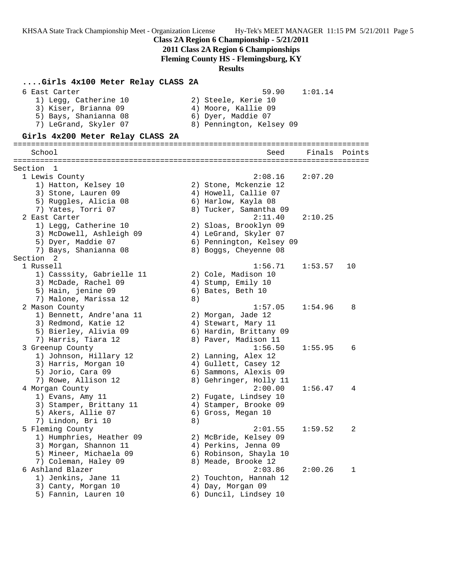# **Class 2A Region 6 Championship - 5/21/2011**

**2011 Class 2A Region 6 Championships**

**Fleming County HS - Flemingsburg, KY**

### **Results**

| Girls 4x100 Meter Relay CLASS 2A                                                                                 |    |                                                                                                       |         |        |
|------------------------------------------------------------------------------------------------------------------|----|-------------------------------------------------------------------------------------------------------|---------|--------|
| 6 East Carter<br>1) Legg, Catherine 10<br>3) Kiser, Brianna 09<br>5) Bays, Shanianna 08<br>7) LeGrand, Skyler 07 |    | 59.90<br>2) Steele, Kerie 10<br>4) Moore, Kallie 09<br>6) Dyer, Maddie 07<br>8) Pennington, Kelsey 09 | 1:01.14 |        |
| Girls 4x200 Meter Relay CLASS 2A                                                                                 |    |                                                                                                       |         |        |
|                                                                                                                  |    |                                                                                                       |         |        |
| School                                                                                                           |    | Seed                                                                                                  | Finals  | Points |
| Section 1                                                                                                        |    |                                                                                                       |         |        |
| 1 Lewis County                                                                                                   |    | 2:08.16                                                                                               | 2:07.20 |        |
| 1) Hatton, Kelsey 10                                                                                             |    | 2) Stone, Mckenzie 12                                                                                 |         |        |
| 3) Stone, Lauren 09                                                                                              |    | 4) Howell, Callie 07                                                                                  |         |        |
| 5) Ruggles, Alicia 08                                                                                            |    | 6) Harlow, Kayla 08                                                                                   |         |        |
| 7) Yates, Torri 07                                                                                               |    | 8) Tucker, Samantha 09                                                                                |         |        |
| 2 East Carter                                                                                                    |    | 2:11.40                                                                                               | 2:10.25 |        |
| 1) Legg, Catherine 10                                                                                            |    | 2) Sloas, Brooklyn 09                                                                                 |         |        |
| 3) McDowell, Ashleigh 09                                                                                         |    | 4) LeGrand, Skyler 07                                                                                 |         |        |
| 5) Dyer, Maddie 07                                                                                               |    | 6) Pennington, Kelsey 09                                                                              |         |        |
| 7) Bays, Shanianna 08                                                                                            |    | 8) Boggs, Cheyenne 08                                                                                 |         |        |
| Section<br>$\overline{2}$                                                                                        |    |                                                                                                       |         |        |
| 1 Russell                                                                                                        |    | 1:56.71                                                                                               | 1:53.57 | 10     |
| 1) Casssity, Gabrielle 11                                                                                        |    | 2) Cole, Madison 10                                                                                   |         |        |
| 3) McDade, Rachel 09                                                                                             |    | 4) Stump, Emily 10                                                                                    |         |        |
| 5) Hain, jenine 09                                                                                               |    | 6) Bates, Beth 10                                                                                     |         |        |
| 7) Malone, Marissa 12                                                                                            | 8) |                                                                                                       |         |        |
| 2 Mason County                                                                                                   |    | 1:57.05                                                                                               | 1:54.96 | 8      |
| 1) Bennett, Andre'ana 11                                                                                         |    | 2) Morgan, Jade 12                                                                                    |         |        |
| 3) Redmond, Katie 12                                                                                             |    | 4) Stewart, Mary 11                                                                                   |         |        |
| 5) Bierley, Alivia 09                                                                                            |    | 6) Hardin, Brittany 09                                                                                |         |        |
| 7) Harris, Tiara 12                                                                                              |    | 8) Paver, Madison 11<br>1:56.50                                                                       | 1:55.95 | 6      |
| 3 Greenup County<br>1) Johnson, Hillary 12                                                                       |    | 2) Lanning, Alex 12                                                                                   |         |        |
| 3) Harris, Morgan 10                                                                                             |    | 4) Gullett, Casey 12                                                                                  |         |        |
| 5) Jorio, Cara 09                                                                                                |    | 6) Sammons, Alexis 09                                                                                 |         |        |
| 7) Rowe, Allison 12                                                                                              |    | 8) Gehringer, Holly 11                                                                                |         |        |
| 4 Morgan County                                                                                                  |    | 2:00.00                                                                                               | 1:56.47 | 4      |
| 1) Evans, Amy 11                                                                                                 |    | 2) Fugate, Lindsey 10                                                                                 |         |        |
| 3) Stamper, Brittany 11                                                                                          |    | 4) Stamper, Brooke 09                                                                                 |         |        |
| 5) Akers, Allie 07                                                                                               |    | 6) Gross, Megan 10                                                                                    |         |        |
| 7) Lindon, Bri 10                                                                                                | 8) |                                                                                                       |         |        |
| 5 Fleming County                                                                                                 |    | 2:01.55                                                                                               | 1:59.52 | 2      |
| 1) Humphries, Heather 09                                                                                         |    | 2) McBride, Kelsey 09                                                                                 |         |        |
| 3) Morgan, Shannon 11                                                                                            |    | 4) Perkins, Jenna 09                                                                                  |         |        |
| 5) Mineer, Michaela 09                                                                                           |    | 6) Robinson, Shayla 10                                                                                |         |        |
| 7) Coleman, Haley 09                                                                                             |    | 8) Meade, Brooke 12                                                                                   |         |        |
| 6 Ashland Blazer                                                                                                 |    | 2:03.86                                                                                               | 2:00.26 | 1      |
| 1) Jenkins, Jane 11                                                                                              |    | 2) Touchton, Hannah 12                                                                                |         |        |
| 3) Canty, Morgan 10                                                                                              |    | 4) Day, Morgan 09                                                                                     |         |        |
| 5) Fannin, Lauren 10                                                                                             |    | 6) Duncil, Lindsey 10                                                                                 |         |        |
|                                                                                                                  |    |                                                                                                       |         |        |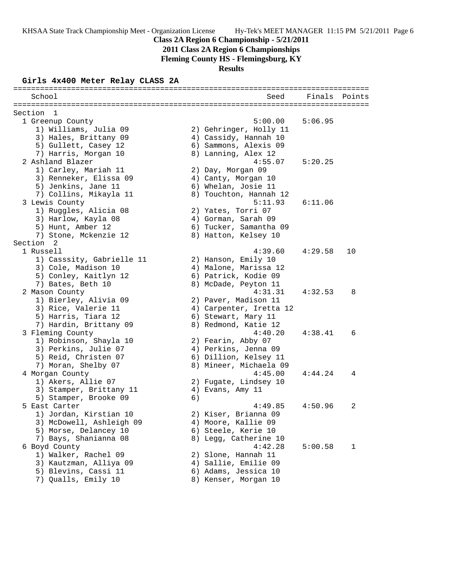# **Class 2A Region 6 Championship - 5/21/2011**

**2011 Class 2A Region 6 Championships**

**Fleming County HS - Flemingsburg, KY**

**Results**

### **Girls 4x400 Meter Relay CLASS 2A**

| School                                 |    | Seed                    | Finals  | Points |
|----------------------------------------|----|-------------------------|---------|--------|
| Section<br>- 1                         |    |                         |         |        |
| 1 Greenup County                       |    | 5:00.00                 | 5:06.95 |        |
| 1) Williams, Julia 09                  |    | 2) Gehringer, Holly 11  |         |        |
| 3) Hales, Brittany 09                  |    | 4) Cassidy, Hannah 10   |         |        |
| 5) Gullett, Casey 12                   |    | 6) Sammons, Alexis 09   |         |        |
| 7) Harris, Morgan 10                   |    | 8) Lanning, Alex 12     |         |        |
| 2 Ashland Blazer                       |    | 4:55.07                 | 5:20.25 |        |
| 1) Carley, Mariah 11                   |    | 2) Day, Morgan 09       |         |        |
| 3) Renneker, Elissa 09                 |    | 4) Canty, Morgan 10     |         |        |
| 5) Jenkins, Jane 11                    |    | 6) Whelan, Josie 11     |         |        |
| 7) Collins, Mikayla 11                 |    | 8) Touchton, Hannah 12  |         |        |
| 3 Lewis County                         |    | 5:11.93                 | 6:11.06 |        |
| 1) Ruggles, Alicia 08                  |    | 2) Yates, Torri 07      |         |        |
| 3) Harlow, Kayla 08                    |    | 4) Gorman, Sarah 09     |         |        |
| 5) Hunt, Amber 12                      |    | 6) Tucker, Samantha 09  |         |        |
| 7) Stone, Mckenzie 12                  |    | 8) Hatton, Kelsey 10    |         |        |
| Section 2                              |    |                         |         |        |
| 1 Russell                              |    | 4:39.60                 | 4:29.58 | 10     |
| 1) Casssity, Gabrielle 11              |    | 2) Hanson, Emily 10     |         |        |
| 3) Cole, Madison 10                    |    | 4) Malone, Marissa 12   |         |        |
| 5) Conley, Kaitlyn 12                  |    | 6) Patrick, Kodie 09    |         |        |
| 7) Bates, Beth 10                      |    | 8) McDade, Peyton 11    |         |        |
| 2 Mason County                         |    | 4:31.31                 | 4:32.53 | 8      |
| 1) Bierley, Alivia 09                  |    | 2) Paver, Madison 11    |         |        |
| 3) Rice, Valerie 11                    |    | 4) Carpenter, Iretta 12 |         |        |
| 5) Harris, Tiara 12                    |    | 6) Stewart, Mary 11     |         |        |
| 7) Hardin, Brittany 09                 |    | 8) Redmond, Katie 12    |         |        |
| 3 Fleming County                       |    | 4:40.20                 | 4:38.41 | 6      |
| 1) Robinson, Shayla 10                 |    | 2) Fearin, Abby 07      |         |        |
| 3) Perkins, Julie 07                   |    | 4) Perkins, Jenna 09    |         |        |
| 5) Reid, Christen 07                   |    | 6) Dillion, Kelsey 11   |         |        |
| 7) Moran, Shelby 07                    |    | 8) Mineer, Michaela 09  |         |        |
| 4 Morgan County                        |    | 4:45.00                 | 4:44.24 | 4      |
| 1) Akers, Allie 07                     |    | 2) Fugate, Lindsey 10   |         |        |
| 3) Stamper, Brittany 11                |    | 4) Evans, Amy 11        |         |        |
| 5) Stamper, Brooke 09<br>5 East Carter | 6) | 4:49.85                 | 4:50.96 | 2      |
| 1) Jordan, Kirstian 10                 |    | 2) Kiser, Brianna 09    |         |        |
| 3) McDowell, Ashleigh 09               |    | 4) Moore, Kallie 09     |         |        |
| 5) Morse, Delancey 10                  |    | 6) Steele, Kerie 10     |         |        |
| 7) Bays, Shanianna 08                  |    | 8) Legg, Catherine 10   |         |        |
| 6 Boyd County                          |    | 4:42.28                 | 5:00.58 | 1      |
| 1) Walker, Rachel 09                   |    | 2) Slone, Hannah 11     |         |        |
| 3) Kautzman, Alliya 09                 |    | 4) Sallie, Emilie 09    |         |        |
| 5) Blevins, Cassi 11                   |    | 6) Adams, Jessica 10    |         |        |
| 7) Qualls, Emily 10                    |    | 8) Kenser, Morgan 10    |         |        |
|                                        |    |                         |         |        |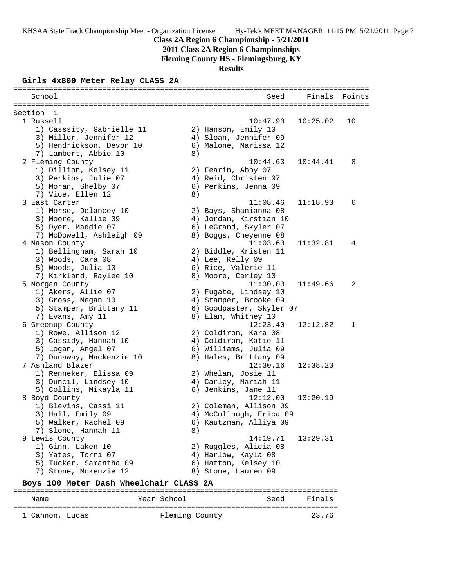## **Class 2A Region 6 Championship - 5/21/2011**

**2011 Class 2A Region 6 Championships**

**Fleming County HS - Flemingsburg, KY**

**Results**

### **Girls 4x800 Meter Relay CLASS 2A**

| School                                  |    | Seed                     | Finals   | Points |
|-----------------------------------------|----|--------------------------|----------|--------|
| Section 1                               |    |                          |          |        |
| 1 Russell                               |    | 10:47.90                 | 10:25.02 | 10     |
| 1) Casssity, Gabrielle 11               |    | 2) Hanson, Emily 10      |          |        |
| 3) Miller, Jennifer 12                  |    | 4) Sloan, Jennifer 09    |          |        |
| 5) Hendrickson, Devon 10                |    | 6) Malone, Marissa 12    |          |        |
| 7) Lambert, Abbie 10                    | 8) |                          |          |        |
| 2 Fleming County                        |    | 10:44.63                 | 10:44.41 | 8      |
| 1) Dillion, Kelsey 11                   |    | 2) Fearin, Abby 07       |          |        |
| 3) Perkins, Julie 07                    |    | 4) Reid, Christen 07     |          |        |
| 5) Moran, Shelby 07                     |    | 6) Perkins, Jenna 09     |          |        |
| 7) Vice, Ellen 12                       | 8) |                          |          |        |
| 3 East Carter                           |    | 11:08.46                 | 11:18.93 | 6      |
| 1) Morse, Delancey 10                   |    | 2) Bays, Shanianna 08    |          |        |
| 3) Moore, Kallie 09                     |    | 4) Jordan, Kirstian 10   |          |        |
| 5) Dyer, Maddie 07                      |    | 6) LeGrand, Skyler 07    |          |        |
| 7) McDowell, Ashleigh 09                |    | 8) Boggs, Cheyenne 08    |          |        |
| 4 Mason County                          |    | 11:03.60                 | 11:32.81 | 4      |
| 1) Bellingham, Sarah 10                 |    | 2) Biddle, Kristen 11    |          |        |
| 3) Woods, Cara 08                       |    | 4) Lee, Kelly 09         |          |        |
| 5) Woods, Julia 10                      |    | 6) Rice, Valerie 11      |          |        |
| 7) Kirkland, Raylee 10                  |    | 8) Moore, Carley 10      |          |        |
| 5 Morgan County                         |    | 11:30.00                 | 11:49.66 | 2      |
| 1) Akers, Allie 07                      |    | 2) Fugate, Lindsey 10    |          |        |
| 3) Gross, Megan 10                      |    | 4) Stamper, Brooke 09    |          |        |
| 5) Stamper, Brittany 11                 |    | 6) Goodpaster, Skyler 07 |          |        |
| 7) Evans, Amy 11                        |    | 8) Elam, Whitney 10      |          |        |
| 6 Greenup County                        |    | 12:23.40                 | 12:12.82 | 1      |
| 1) Rowe, Allison 12                     |    | 2) Coldiron, Kara 08     |          |        |
| 3) Cassidy, Hannah 10                   |    | 4) Coldiron, Katie 11    |          |        |
| 5) Logan, Angel 07                      |    | 6) Williams, Julia 09    |          |        |
| 7) Dunaway, Mackenzie 10                |    | 8) Hales, Brittany 09    |          |        |
| 7 Ashland Blazer                        |    | 12:30.16                 | 12:38.20 |        |
| 1) Renneker, Elissa 09                  |    | 2) Whelan, Josie 11      |          |        |
| 3) Duncil, Lindsey 10                   |    | 4) Carley, Mariah 11     |          |        |
| 5) Collins, Mikayla 11                  |    | 6) Jenkins, Jane 11      |          |        |
| 8 Boyd County                           |    | 12:12.00                 | 13:20.19 |        |
| 1) Blevins, Cassi 11                    |    | 2) Coleman, Allison 09   |          |        |
| 3) Hall, Emily 09                       |    | 4) McCollough, Erica 09  |          |        |
| 5) Walker, Rachel 09                    |    | 6) Kautzman, Alliya 09   |          |        |
| 7) Slone, Hannah 11                     | 8) |                          |          |        |
| 9 Lewis County                          |    | 14:19.71                 | 13:29.31 |        |
| 1) Ginn, Laken 10                       |    | 2) Ruggles, Alicia 08    |          |        |
| 3) Yates, Torri 07                      |    | 4) Harlow, Kayla 08      |          |        |
| 5) Tucker, Samantha 09                  |    | 6) Hatton, Kelsey 10     |          |        |
| 7) Stone, Mckenzie 12                   |    | 8) Stone, Lauren 09      |          |        |
| Boys 100 Meter Dash Wheelchair CLASS 2A |    |                          |          |        |

========================================================================= Name Year School ========================================================================= 1 Cannon, Lucas **Fleming County** 23.76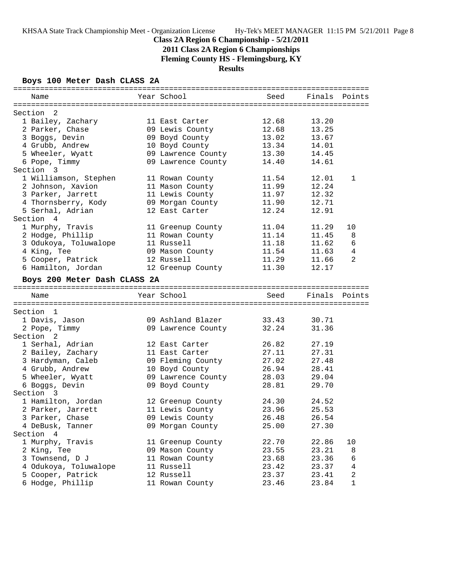# **2011 Class 2A Region 6 Championships**

**Fleming County HS - Flemingsburg, KY**

## **Results**

### **Boys 100 Meter Dash CLASS 2A**

| Name                         | Year School        | Seed  | Finals Points |             |
|------------------------------|--------------------|-------|---------------|-------------|
| Section 2                    |                    |       |               |             |
| 1 Bailey, Zachary            | 11 East Carter     | 12.68 | 13.20         |             |
| 2 Parker, Chase              | 09 Lewis County    | 12.68 | 13.25         |             |
| 3 Boggs, Devin               | 09 Boyd County     | 13.02 | 13.67         |             |
|                              |                    | 13.34 |               |             |
| 4 Grubb, Andrew              | 10 Boyd County     |       | 14.01         |             |
| 5 Wheeler, Wyatt             | 09 Lawrence County | 13.30 | 14.45         |             |
| 6 Pope, Timmy                | 09 Lawrence County | 14.40 | 14.61         |             |
| Section 3                    |                    |       |               |             |
| 1 Williamson, Stephen        | 11 Rowan County    | 11.54 | 12.01         | 1           |
| 2 Johnson, Xavion            | 11 Mason County    | 11.99 | 12.24         |             |
| 3 Parker, Jarrett            | 11 Lewis County    | 11.97 | 12.32         |             |
| 4 Thornsberry, Kody          | 09 Morgan County   | 11.90 | 12.71         |             |
| 5 Serhal, Adrian             | 12 East Carter     | 12.24 | 12.91         |             |
| Section 4                    |                    |       |               |             |
| 1 Murphy, Travis             | 11 Greenup County  | 11.04 | 11.29         | 10          |
| 2 Hodge, Phillip             | 11 Rowan County    | 11.14 | 11.45         | 8           |
| 3 Odukoya, Toluwalope        | 11 Russell         | 11.18 | 11.62         | 6           |
| 4 King, Tee                  | 09 Mason County    | 11.54 | 11.63         | 4           |
| 5 Cooper, Patrick            | 12 Russell         | 11.29 | 11.66         | 2           |
| 6 Hamilton, Jordan           | 12 Greenup County  | 11.30 | 12.17         |             |
|                              |                    |       |               |             |
| Boys 200 Meter Dash CLASS 2A |                    |       |               |             |
| Name                         | Year School        | Seed  | Finals        | Points      |
|                              |                    |       |               |             |
| Section 1                    |                    |       |               |             |
| 1 Davis, Jason               | 09 Ashland Blazer  | 33.43 | 30.71         |             |
| 2 Pope, Timmy                |                    | 32.24 | 31.36         |             |
| Section <sub>2</sub>         | 09 Lawrence County |       |               |             |
|                              |                    |       |               |             |
| 1 Serhal, Adrian             | 12 East Carter     | 26.82 | 27.19         |             |
| 2 Bailey, Zachary            | 11 East Carter     | 27.11 | 27.31         |             |
| 3 Hardyman, Caleb            | 09 Fleming County  | 27.02 | 27.48         |             |
| 4 Grubb, Andrew              | 10 Boyd County     | 26.94 | 28.41         |             |
| 5 Wheeler, Wyatt             | 09 Lawrence County | 28.03 | 29.04         |             |
| 6 Boqqs, Devin               | 09 Boyd County     | 28.81 | 29.70         |             |
| Section 3                    |                    |       |               |             |
| 1 Hamilton, Jordan           | 12 Greenup County  | 24.30 | 24.52         |             |
| 2 Parker, Jarrett            | 11 Lewis County    | 23.96 | 25.53         |             |
| 3 Parker, Chase              | 09 Lewis County    | 26.48 | 26.54         |             |
| 4 DeBusk, Tanner             | 09 Morgan County   | 25.00 | 27.30         |             |
| Section 4                    |                    |       |               |             |
| 1 Murphy, Travis             | 11 Greenup County  | 22.70 | 22.86         | 10          |
| 2 King, Tee                  | 09 Mason County    | 23.55 | 23.21         | 8           |
| 3 Townsend, D J              | 11 Rowan County    | 23.68 | 23.36         | 6           |
| 4 Odukoya, Toluwalope        | 11 Russell         | 23.42 | 23.37         | 4           |
|                              | 12 Russell         |       |               | $\sqrt{2}$  |
| 5 Cooper, Patrick            |                    | 23.37 | 23.41         |             |
| 6 Hodge, Phillip             | 11 Rowan County    | 23.46 | 23.84         | $\mathbf 1$ |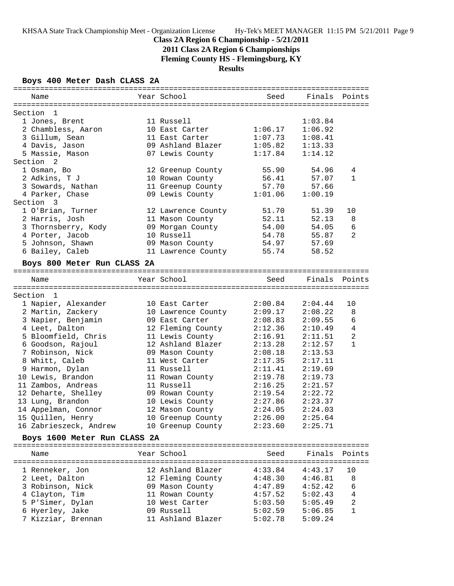# **Class 2A Region 6 Championship - 5/21/2011**

**2011 Class 2A Region 6 Championships**

**Fleming County HS - Flemingsburg, KY**

**Results**

### **Boys 400 Meter Dash CLASS 2A**

| Name                         | Year School        | Seed    | Finals Points |                |
|------------------------------|--------------------|---------|---------------|----------------|
|                              |                    |         |               |                |
| Section<br>-1                |                    |         |               |                |
| 1 Jones, Brent               | 11 Russell         |         | 1:03.84       |                |
| 2 Chambless, Aaron           | 10 East Carter     | 1:06.17 | 1:06.92       |                |
| 3 Gillum, Sean               | 11 East Carter     | 1:07.73 | 1:08.41       |                |
| 4 Davis, Jason               | 09 Ashland Blazer  | 1:05.82 | 1:13.33       |                |
| 5 Massie, Mason              | 07 Lewis County    | 1:17.84 | 1:14.12       |                |
| Section 2                    |                    |         |               |                |
| 1 Osman, Bo                  | 12 Greenup County  | 55.90   | 54.96         | 4              |
| 2 Adkins, T J                | 10 Rowan County    | 56.41   | 57.07         | $\mathbf{1}$   |
| 3 Sowards, Nathan            | 11 Greenup County  | 57.70   | 57.66         |                |
| 4 Parker, Chase              | 09 Lewis County    | 1:01.06 | 1:00.19       |                |
| Section 3                    |                    |         |               |                |
| 1 O'Brian, Turner            | 12 Lawrence County | 51.70   | 51.39         | 10             |
| 2 Harris, Josh               | 11 Mason County    | 52.11   | 52.13         | 8              |
| 3 Thornsberry, Kody          | 09 Morgan County   | 54.00   | 54.05         | 6              |
| 4 Porter, Jacob              | 10 Russell         | 54.78   | 55.87         | $\overline{a}$ |
| 5 Johnson, Shawn             | 09 Mason County    | 54.97   | 57.69         |                |
| 6 Bailey, Caleb              | 11 Lawrence County | 55.74   | 58.52         |                |
|                              |                    |         |               |                |
| Boys 800 Meter Run CLASS 2A  |                    |         |               |                |
|                              |                    |         |               |                |
| Name                         | Year School        | Seed    | Finals Points |                |
|                              |                    |         |               |                |
| Section 1                    |                    |         |               |                |
| 1 Napier, Alexander          | 10 East Carter     | 2:00.84 | 2:04.44       | 10             |
| 2 Martin, Zackery            | 10 Lawrence County | 2:09.17 | 2:08.22       | 8              |
| 3 Napier, Benjamin           | 09 East Carter     | 2:08.83 | 2:09.55       | 6              |
| 4 Leet, Dalton               | 12 Fleming County  | 2:12.36 | 2:10.49       | 4              |
| 5 Bloomfield, Chris          | 11 Lewis County    | 2:16.91 | 2:11.51       | 2              |
| 6 Goodson, Rajoul            | 12 Ashland Blazer  | 2:13.28 | 2:12.57       | $\mathbf{1}$   |
| 7 Robinson, Nick             | 09 Mason County    | 2:08.18 | 2:13.53       |                |
| 8 Whitt, Caleb               | 11 West Carter     | 2:17.35 | 2:17.11       |                |
| 9 Harmon, Dylan              | 11 Russell         | 2:11.41 | 2:19.69       |                |
| 10 Lewis, Brandon            | 11 Rowan County    | 2:19.78 | 2:19.73       |                |
| 11 Zambos, Andreas           | 11 Russell         | 2:16.25 | 2:21.57       |                |
| 12 Deharte, Shelley          | 09 Rowan County    | 2:19.54 | 2:22.72       |                |
| 13 Lung, Brandon             | 10 Lewis County    | 2:27.86 | 2:23.37       |                |
| 14 Appelman, Connor          | 12 Mason County    | 2:24.05 | 2:24.03       |                |
| 15 Quillen, Henry            | 10 Greenup County  | 2:26.00 | 2:25.64       |                |
| 16 Zabrieszeck, Andrew       | 10 Greenup County  | 2:23.60 | 2:25.71       |                |
| Boys 1600 Meter Run CLASS 2A |                    |         |               |                |
|                              |                    |         |               |                |
| Name                         | Year School        | Seed    | Finals        | Points         |
|                              |                    |         |               |                |
| 1 Renneker, Jon              | 12 Ashland Blazer  | 4:33.84 | 4:43.17       | 10             |
| 2 Leet, Dalton               | 12 Fleming County  | 4:48.30 | 4:46.81       | 8              |
| 3 Robinson, Nick             | 09 Mason County    | 4:47.89 | 4:52.42       | 6              |
| 4 Clayton, Tim               | 11 Rowan County    | 4:57.52 | 5:02.43       | 4              |
| 5 P'Simer, Dylan             | 10 West Carter     | 5:03.50 | 5:05.49       | 2              |
| 6 Hyerley, Jake              | 09 Russell         | 5:02.59 | 5:06.85       | $\mathbf{1}$   |
|                              |                    |         |               |                |
| 7 Kizziar, Brennan           | 11 Ashland Blazer  | 5:02.78 | 5:09.24       |                |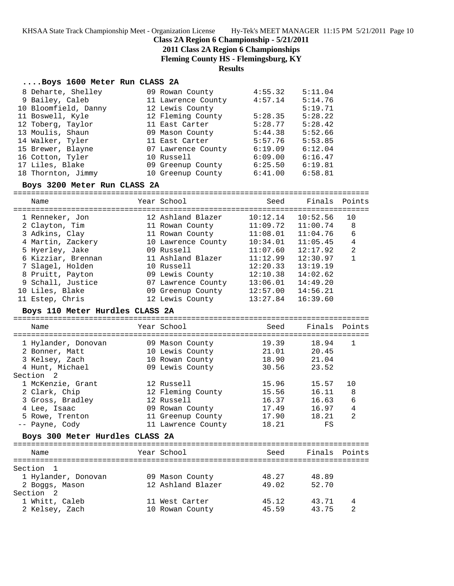### **Class 2A Region 6 Championship - 5/21/2011**

**2011 Class 2A Region 6 Championships**

**Fleming County HS - Flemingsburg, KY**

#### **Results**

#### **....Boys 1600 Meter Run CLASS 2A**

| 8 Deharte, Shelley   | 09 Rowan County    | 4:55.32 | 5:11.04 |
|----------------------|--------------------|---------|---------|
| 9 Bailey, Caleb      | 11 Lawrence County | 4:57.14 | 5:14.76 |
| 10 Bloomfield, Danny | 12 Lewis County    |         | 5:19.71 |
| 11 Boswell, Kyle     | 12 Fleming County  | 5:28.35 | 5:28.22 |
| 12 Toberg, Taylor    | 11 East Carter     | 5:28.77 | 5:28.42 |
| 13 Moulis, Shaun     | 09 Mason County    | 5:44.38 | 5:52.66 |
| 14 Walker, Tyler     | 11 East Carter     | 5:57.76 | 5:53.85 |
| 15 Brewer, Blayne    | 07 Lawrence County | 6:19.09 | 6:12.04 |
| 16 Cotton, Tyler     | 10 Russell         | 6:09.00 | 6:16.47 |
| 17 Liles, Blake      | 09 Greenup County  | 6:25.50 | 6:19.81 |
| 18 Thornton, Jimmy   | 10 Greenup County  | 6:41.00 | 6:58.81 |

#### **Boys 3200 Meter Run CLASS 2A**

================================================================================ Name Year School Seed Finals Points ================================================================================ 1 Renneker, Jon 12 Ashland Blazer 10:12.14 10:52.56 10 2 Clayton, Tim 11 Rowan County 11:09.72 11:00.74 8 3 Adkins, Clay 11 Rowan County 11:08.01 11:04.76 6 4 Martin, Zackery 10 Lawrence County 10:34.01 11:05.45 4 5 Hyerley, Jake 09 Russell 11:07.60 12:17.92 2 6 Kizziar, Brennan 11 Ashland Blazer 11:12.99 12:30.97 1 7 Slagel, Holden 10 Russell 12:20.33 13:19.19 8 Pruitt, Payton 09 Lewis County 12:10.38 14:02.62 9 Schall, Justice 07 Lawrence County 13:06.01 14:49.20 10 Liles, Blake 09 Greenup County 12:57.00 14:56.21 11 Estep, Chris 12 Lewis County 13:27.84 16:39.60

#### **Boys 110 Meter Hurdles CLASS 2A**

================================================================================ Name Year School ================================================================================ 1 Hylander, Donovan 09 Mason County 19.39 18.94 1 2 Bonner, Matt 10 Lewis County 21.01 20.45 3 Kelsey, Zach 10 Rowan County 18.90 21.04 4 Hunt, Michael 09 Lewis County 30.56 23.52 Section 2 1 McKenzie, Grant 12 Russell 15.96 15.57 10 2 Clark, Chip 12 Fleming County 15.56 16.11 8 3 Gross, Bradley 12 Russell 16.37 16.63 6 4 Lee, Isaac 09 Rowan County 17.49 16.97 4 5 Rowe, Trenton 11 Greenup County 17.90 18.21 2 -- Payne, Cody 11 Lawrence County 18.21 FS **Boys 300 Meter Hurdles CLASS 2A** ================================================================================ Name The Year School Seed Finals Points ================================================================================ Section 1 1 Hylander, Donovan 09 Mason County 48.27 48.89 2 Boggs, Mason 12 Ashland Blazer 49.02 52.70 Section 2

 1 Whitt, Caleb 11 West Carter 45.12 43.71 4 2 Kelsey, Zach 10 Rowan County 45.59 43.75 2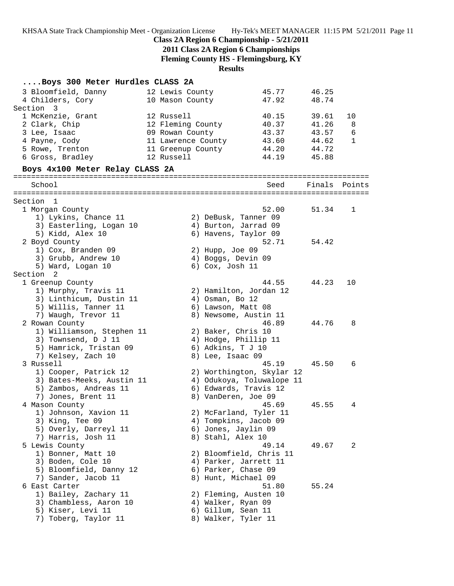### **Class 2A Region 6 Championship - 5/21/2011**

**2011 Class 2A Region 6 Championships**

**Fleming County HS - Flemingsburg, KY**

**Results**

# **....Boys 300 Meter Hurdles CLASS 2A**

| 3 Bloomfield, Danny<br>4 Childers, Cory | 12 Lewis County<br>10 Mason County | 45.77<br>47.92            | 46.25<br>48.74 |              |
|-----------------------------------------|------------------------------------|---------------------------|----------------|--------------|
| Section<br>3                            |                                    |                           |                |              |
| 1 McKenzie, Grant                       | 12 Russell                         | 40.15                     | 39.61          | 10           |
| 2 Clark, Chip                           | 12 Fleming County                  | 40.37                     | 41.26          | 8            |
| 3 Lee, Isaac                            | 09 Rowan County                    | 43.37                     | 43.57          | 6            |
| 4 Payne, Cody                           | 11 Lawrence County                 | 43.60                     | 44.62          | $\mathbf{1}$ |
| 5 Rowe, Trenton                         | 11 Greenup County                  | 44.20                     | 44.72          |              |
| 6 Gross, Bradley                        | 12 Russell                         | 44.19                     | 45.88          |              |
| Boys 4x100 Meter Relay CLASS 2A         |                                    |                           |                |              |
| School                                  |                                    | Seed                      | Finals         | Points       |
| Section 1                               |                                    |                           |                |              |
| 1 Morgan County                         |                                    | 52.00                     | 51.34          | 1            |
| 1) Lykins, Chance 11                    |                                    | 2) DeBusk, Tanner 09      |                |              |
| 3) Easterling, Logan 10                 |                                    | 4) Burton, Jarrad 09      |                |              |
| 5) Kidd, Alex 10                        |                                    | 6) Havens, Taylor 09      |                |              |
| 2 Boyd County                           |                                    | 52.71                     | 54.42          |              |
| 1) Cox, Branden 09                      |                                    | 2) Hupp, Joe 09           |                |              |
| 3) Grubb, Andrew 10                     |                                    | 4) Boggs, Devin 09        |                |              |
| 5) Ward, Logan 10                       |                                    | 6) Cox, Josh 11           |                |              |
| Section 2                               |                                    |                           |                |              |
| 1 Greenup County                        |                                    | 44.55                     | 44.23          | 10           |
| 1) Murphy, Travis 11                    |                                    | 2) Hamilton, Jordan 12    |                |              |
| 3) Linthicum, Dustin 11                 |                                    | $4)$ Osman, Bo $12$       |                |              |
| 5) Willis, Tanner 11                    |                                    | 6) Lawson, Matt 08        |                |              |
| 7) Waugh, Trevor 11                     |                                    | 8) Newsome, Austin 11     |                |              |
|                                         |                                    | 46.89                     | 44.76          | 8            |
| 2 Rowan County                          |                                    |                           |                |              |
| 1) Williamson, Stephen 11               |                                    | 2) Baker, Chris 10        |                |              |
| 3) Townsend, D J 11                     |                                    | 4) Hodge, Phillip 11      |                |              |
| 5) Hamrick, Tristan 09                  |                                    | 6) Adkins, T J 10         |                |              |
| 7) Kelsey, Zach 10                      |                                    | 8) Lee, Isaac 09          |                |              |
| 3 Russell                               |                                    | 45.19                     | 45.50          | 6            |
| 1) Cooper, Patrick 12                   |                                    | 2) Worthington, Skylar 12 |                |              |
| 3) Bates-Meeks, Austin 11               |                                    | 4) Odukoya, Toluwalope 11 |                |              |
| 5) Zambos, Andreas 11                   |                                    | 6) Edwards, Travis 12     |                |              |
| 7) Jones, Brent 11                      |                                    | 8) VanDeren, Joe 09       |                |              |
| 4 Mason County                          |                                    | 45.69                     | 45.55          | 4            |
| 1) Johnson, Xavion 11                   |                                    | 2) McFarland, Tyler 11    |                |              |
| 3) King, Tee 09                         |                                    | 4) Tompkins, Jacob 09     |                |              |
| 5) Overly, Darreyl 11                   |                                    | 6) Jones, Jaylin 09       |                |              |
| 7) Harris, Josh 11                      |                                    | 8) Stahl, Alex 10         |                |              |
| 5 Lewis County                          |                                    | 49.14                     | 49.67          | 2            |
| 1) Bonner, Matt 10                      |                                    | 2) Bloomfield, Chris 11   |                |              |
| 3) Boden, Cole 10                       |                                    | 4) Parker, Jarrett 11     |                |              |
| 5) Bloomfield, Danny 12                 |                                    | 6) Parker, Chase 09       |                |              |
| 7) Sander, Jacob 11                     |                                    | 8) Hunt, Michael 09       |                |              |
| 6 East Carter                           |                                    | 51.80                     | 55.24          |              |
| 1) Bailey, Zachary 11                   |                                    | 2) Fleming, Austen 10     |                |              |
| 3) Chambless, Aaron 10                  |                                    | 4) Walker, Ryan 09        |                |              |
| 5) Kiser, Levi 11                       |                                    | 6) Gillum, Sean 11        |                |              |
| 7) Toberg, Taylor 11                    |                                    | 8) Walker, Tyler 11       |                |              |
|                                         |                                    |                           |                |              |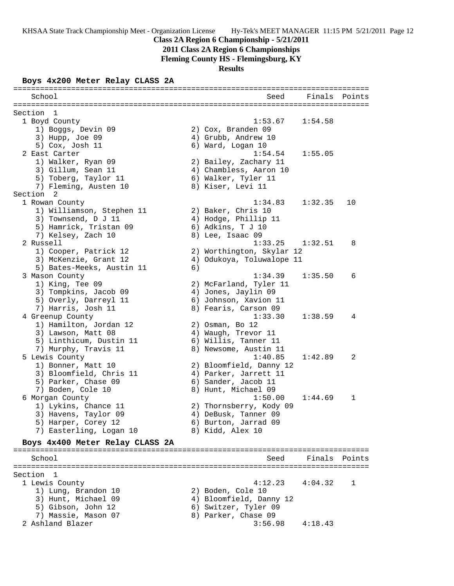**2011 Class 2A Region 6 Championships**

**Fleming County HS - Flemingsburg, KY**

**Results**

### **Boys 4x200 Meter Relay CLASS 2A**

| School                          |    | Seed                                       | Finals Points |        |
|---------------------------------|----|--------------------------------------------|---------------|--------|
| Section<br>1                    |    |                                            |               |        |
| 1 Boyd County                   |    | 1:53.67                                    | 1:54.58       |        |
| 1) Boggs, Devin 09              |    | 2) Cox, Branden 09                         |               |        |
| 3) Hupp, Joe 09                 |    | 4) Grubb, Andrew 10                        |               |        |
| 5) Cox, Josh 11                 |    | 6) Ward, Logan 10                          |               |        |
| 2 East Carter                   |    | 1:54.54                                    | 1:55.05       |        |
| 1) Walker, Ryan 09              |    | 2) Bailey, Zachary 11                      |               |        |
| 3) Gillum, Sean 11              |    | 4) Chambless, Aaron 10                     |               |        |
| 5) Toberg, Taylor 11            |    | 6) Walker, Tyler 11                        |               |        |
| 7) Fleming, Austen 10           |    | 8) Kiser, Levi 11                          |               |        |
| Section 2                       |    |                                            |               |        |
| 1 Rowan County                  |    | 1:34.83                                    | 1:32.35       | 10     |
| 1) Williamson, Stephen 11       |    |                                            |               |        |
|                                 |    | 2) Baker, Chris 10<br>4) Hodge, Phillip 11 |               |        |
| 3) Townsend, D J 11             |    |                                            |               |        |
| 5) Hamrick, Tristan 09          |    | 6) Adkins, T J 10                          |               |        |
| 7) Kelsey, Zach 10              |    | 8) Lee, Isaac 09                           |               |        |
| 2 Russell                       |    | 1:33.25                                    | 1:32.51       | 8      |
| 1) Cooper, Patrick 12           |    | 2) Worthington, Skylar 12                  |               |        |
| 3) McKenzie, Grant 12           |    | 4) Odukoya, Toluwalope 11                  |               |        |
| 5) Bates-Meeks, Austin 11       | 6) |                                            |               |        |
| 3 Mason County                  |    | 1:34.39                                    | 1:35.50       | 6      |
| 1) King, Tee 09                 |    | 2) McFarland, Tyler 11                     |               |        |
| 3) Tompkins, Jacob 09           |    | 4) Jones, Jaylin 09                        |               |        |
| 5) Overly, Darreyl 11           |    | 6) Johnson, Xavion 11                      |               |        |
| 7) Harris, Josh 11              |    | 8) Fearis, Carson 09                       |               |        |
| 4 Greenup County                |    | 1:33.30                                    | 1:38.59       | 4      |
| 1) Hamilton, Jordan 12          |    | 2) Osman, Bo 12                            |               |        |
| 3) Lawson, Matt 08              |    | 4) Waugh, Trevor 11                        |               |        |
| 5) Linthicum, Dustin 11         |    | 6) Willis, Tanner 11                       |               |        |
| 7) Murphy, Travis 11            |    | 8) Newsome, Austin 11                      |               |        |
| 5 Lewis County                  |    | 1:40.85                                    | 1:42.89       | 2      |
| 1) Bonner, Matt 10              |    | 2) Bloomfield, Danny 12                    |               |        |
| 3) Bloomfield, Chris 11         |    | 4) Parker, Jarrett 11                      |               |        |
| 5) Parker, Chase 09             |    | 6) Sander, Jacob 11                        |               |        |
| 7) Boden, Cole 10               |    | 8) Hunt, Michael 09                        |               |        |
| 6 Morgan County                 |    | 1:50.00                                    | 1:44.69       | 1      |
| 1) Lykins, Chance 11            |    | 2) Thornsberry, Kody 09                    |               |        |
| 3) Havens, Taylor 09            |    | 4) DeBusk, Tanner 09                       |               |        |
| 5) Harper, Corey 12             |    | 6) Burton, Jarrad 09                       |               |        |
| 7) Easterling, Logan 10         |    | 8) Kidd, Alex 10                           |               |        |
| Boys 4x400 Meter Relay CLASS 2A |    |                                            |               |        |
|                                 |    |                                            |               |        |
| School                          |    | Seed                                       | Finals        | Points |
| Section 1                       |    |                                            |               |        |
| 1 Lewis County                  |    | 4:12.23                                    | 4:04.32       | 1      |
| 1) Lung, Brandon 10             |    | 2) Boden, Cole 10                          |               |        |
| 3) Hunt, Michael 09             |    | 4) Bloomfield, Danny 12                    |               |        |
| 5) Gibson, John 12              |    | 6) Switzer, Tyler 09                       |               |        |
| 7) Massie, Mason 07             |    | 8) Parker, Chase 09                        |               |        |
| 2 Ashland Blazer                |    | 3:56.98                                    | 4:18.43       |        |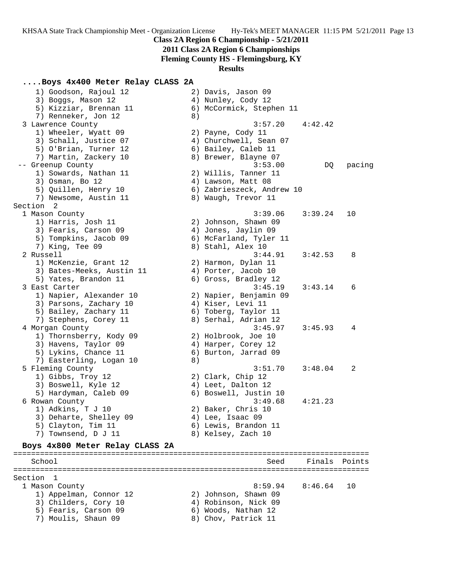## **Class 2A Region 6 Championship - 5/21/2011**

**2011 Class 2A Region 6 Championships**

**Fleming County HS - Flemingsburg, KY**

### **Results**

## **....Boys 4x400 Meter Relay CLASS 2A**

|           | 1) Goodson, Rajoul 12           |    | 2) Davis, Jason 09        |         |        |  |  |  |
|-----------|---------------------------------|----|---------------------------|---------|--------|--|--|--|
|           | 3) Boggs, Mason 12              |    | 4) Nunley, Cody 12        |         |        |  |  |  |
|           | 5) Kizziar, Brennan 11          |    | 6) McCormick, Stephen 11  |         |        |  |  |  |
|           | 7) Renneker, Jon 12             | 8) |                           |         |        |  |  |  |
|           | 3 Lawrence County               |    | 3:57.20                   | 4:42.42 |        |  |  |  |
|           | 1) Wheeler, Wyatt 09            |    | 2) Payne, Cody 11         |         |        |  |  |  |
|           | 3) Schall, Justice 07           |    | 4) Churchwell, Sean 07    |         |        |  |  |  |
|           | 5) O'Brian, Turner 12           |    | 6) Bailey, Caleb 11       |         |        |  |  |  |
|           |                                 |    |                           |         |        |  |  |  |
|           | 7) Martin, Zackery 10           |    | 8) Brewer, Blayne 07      |         |        |  |  |  |
|           | -- Greenup County               |    | 3:53.00                   | DQ.     | pacing |  |  |  |
|           | 1) Sowards, Nathan 11           |    | 2) Willis, Tanner 11      |         |        |  |  |  |
|           | 3) Osman, Bo 12                 |    | 4) Lawson, Matt 08        |         |        |  |  |  |
|           | 5) Quillen, Henry 10            |    | 6) Zabrieszeck, Andrew 10 |         |        |  |  |  |
|           | 7) Newsome, Austin 11           |    | 8) Waugh, Trevor 11       |         |        |  |  |  |
| Section 2 |                                 |    |                           |         |        |  |  |  |
|           | 1 Mason County                  |    | 3:39.06                   | 3:39.24 | 10     |  |  |  |
|           | 1) Harris, Josh 11              |    | 2) Johnson, Shawn 09      |         |        |  |  |  |
|           | 3) Fearis, Carson 09            |    | 4) Jones, Jaylin 09       |         |        |  |  |  |
|           | 5) Tompkins, Jacob 09           |    | 6) McFarland, Tyler 11    |         |        |  |  |  |
|           | 7) King, Tee 09                 |    | 8) Stahl, Alex 10         |         |        |  |  |  |
|           | 2 Russell                       |    | 3:44.91                   | 3:42.53 | 8      |  |  |  |
|           | 1) McKenzie, Grant 12           |    | 2) Harmon, Dylan 11       |         |        |  |  |  |
|           | 3) Bates-Meeks, Austin 11       |    | 4) Porter, Jacob 10       |         |        |  |  |  |
|           | 5) Yates, Brandon 11            |    | 6) Gross, Bradley 12      |         |        |  |  |  |
|           | 3 East Carter                   |    | 3:45.19                   | 3:43.14 | 6      |  |  |  |
|           |                                 |    |                           |         |        |  |  |  |
|           | 1) Napier, Alexander 10         |    | 2) Napier, Benjamin 09    |         |        |  |  |  |
|           | 3) Parsons, Zachary 10          |    | 4) Kiser, Levi 11         |         |        |  |  |  |
|           | 5) Bailey, Zachary 11           |    | 6) Toberg, Taylor 11      |         |        |  |  |  |
|           | 7) Stephens, Corey 11           |    | 8) Serhal, Adrian 12      |         |        |  |  |  |
|           | 4 Morgan County                 |    | 3:45.97                   | 3:45.93 | 4      |  |  |  |
|           | 1) Thornsberry, Kody 09         |    | 2) Holbrook, Joe 10       |         |        |  |  |  |
|           | 3) Havens, Taylor 09            |    | 4) Harper, Corey 12       |         |        |  |  |  |
|           | 5) Lykins, Chance 11            |    | 6) Burton, Jarrad 09      |         |        |  |  |  |
|           | 7) Easterling, Logan 10         | 8) |                           |         |        |  |  |  |
|           | 5 Fleming County                |    | 3:51.70                   | 3:48.04 | 2      |  |  |  |
|           | 1) Gibbs, Troy 12               |    | 2) Clark, Chip 12         |         |        |  |  |  |
|           | 3) Boswell, Kyle 12             |    | 4) Leet, Dalton 12        |         |        |  |  |  |
|           | 5) Hardyman, Caleb 09           |    | 6) Boswell, Justin 10     |         |        |  |  |  |
|           | 6 Rowan County                  |    | 3:49.68                   | 4:21.23 |        |  |  |  |
|           | 1) Adkins, T J 10               |    | 2) Baker, Chris 10        |         |        |  |  |  |
|           | 3) Deharte, Shelley 09          |    | 4) Lee, Isaac 09          |         |        |  |  |  |
|           | 5) Clayton, Tim 11              |    | 6) Lewis, Brandon 11      |         |        |  |  |  |
|           | 7) Townsend, D J 11             |    | 8) Kelsey, Zach 10        |         |        |  |  |  |
|           |                                 |    |                           |         |        |  |  |  |
|           | Boys 4x800 Meter Relay CLASS 2A |    |                           |         |        |  |  |  |
|           | School                          |    | Seed                      | Finals  | Points |  |  |  |
|           |                                 |    |                           |         |        |  |  |  |
| Section   | 1                               |    |                           |         |        |  |  |  |
|           | 1 Mason County                  |    | 8:59.94                   | 8:46.64 | 10     |  |  |  |
|           | 1) Appelman, Connor 12          |    | 2) Johnson, Shawn 09      |         |        |  |  |  |
|           | 3) Childers, Cory 10            |    | 4) Robinson, Nick 09      |         |        |  |  |  |
|           | 5) Fearis, Carson 09            |    | 6) Woods, Nathan 12       |         |        |  |  |  |

- 
- 7) Moulis, Shaun 09 8) Chov, Patrick 11